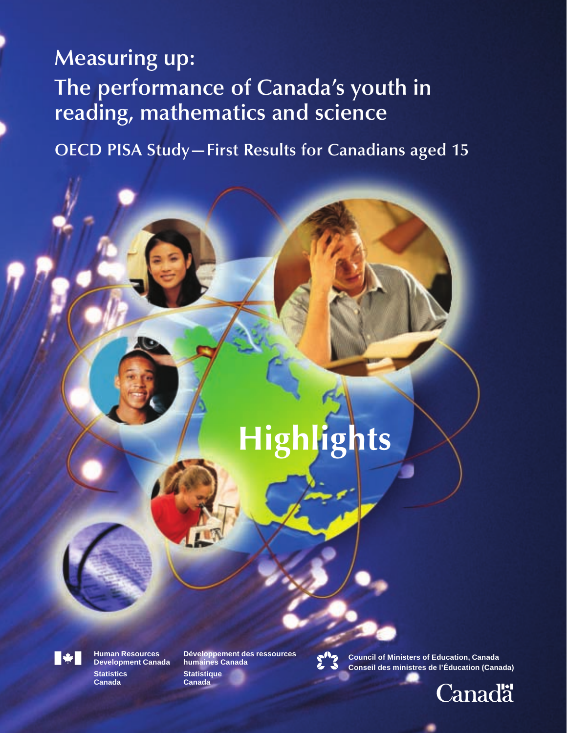# **Measuring up: The performance of Canada's youth in reading, mathematics and science**

**OECD PISA Study—First Results for Canadians aged 15**

# **Highlights**



**Canada Canada Development Canada** 

**Human Resources Développement des ressources**



**Council of Ministers of Education, Canada** Development Canada humaines Canada<br>Statistics Statistique **Statistique Statistique**<br>Statistics Statistique

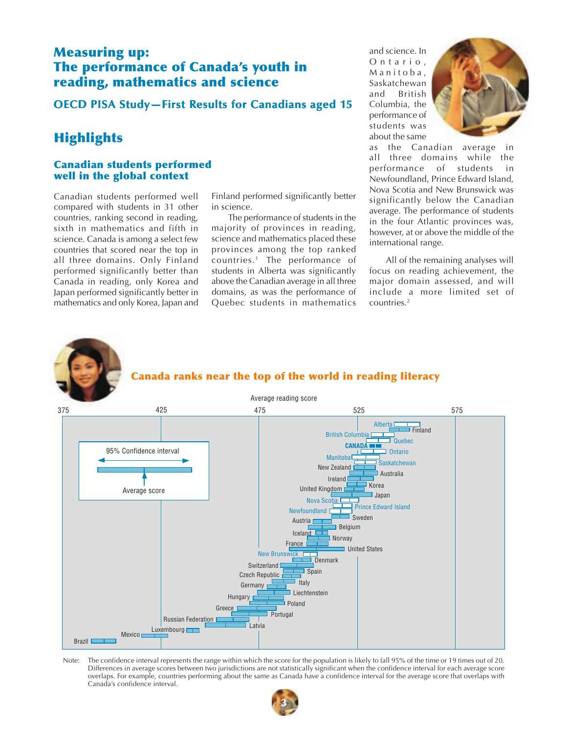## **Measuring up: The performance of Canada's youth in reading, mathematics and science**

**OECD PISA Study–First Results for Canadians aged 15** 

# **Highlights**

#### **Canadian students performed well in the global context**

Canadian students performed well compared with students in 31 other countries, ranking second in reading, sixth in mathematics and fifth in science. Canada is among a select few countries that scored near the top in all three domains. Only Finland performed significantly better than Canada in reading, only Korea and Japan performed significantly better in mathematics and only Korea, Japan and

Finland performed significantly better in science.

The performance of students in the majority of provinces in reading, science and mathematics placed these provinces among the top ranked countries.1 The performance of students in Alberta was significantly above the Canadian average in all three domains, as was the performance of Quebec students in mathematics

and science. In Ontario, Manitoba, Saskatchewan<br>and British **British** Columbia, the performance of students was about the same



as the Canadian average in all three domains while the performance of students in Newfoundland, Prince Edward Island, Nova Scotia and New Brunswick was significantly below the Canadian average. The performance of students in the four Atlantic provinces was, however, at or above the middle of the international range.

All of the remaining analyses will focus on reading achievement, the major domain assessed, and will include a more limited set of countries.2



#### **Canada ranks near the top of the world in reading literacy**



Note: The confidence interval represents the range within which the score for the population is likely to fall 95% of the time or 19 times out of 20. Differences in average scores between two jurisdictions are not statistically significant when the confidence interval for each average score overlaps. For example, countries performing about the same as Canada have a confidence interval for the average score that overlaps with Canada's confidence interval.

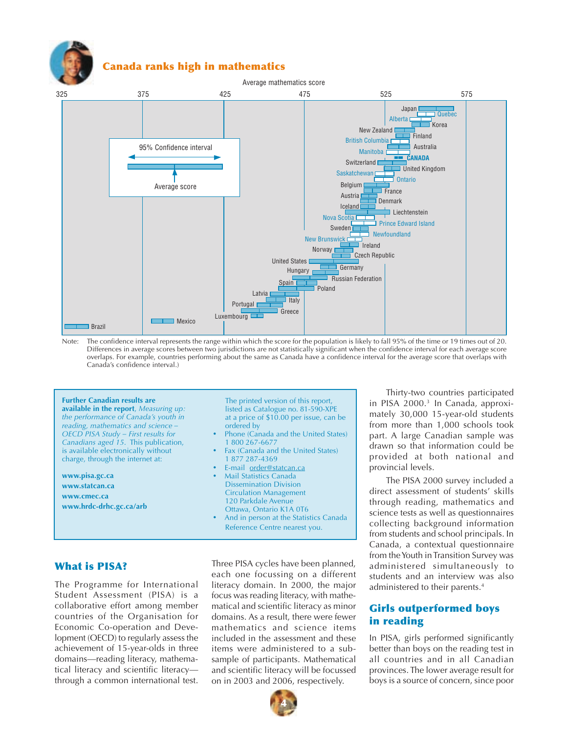

#### **Canada ranks high in mathematics**



Note: The confidence interval represents the range within which the score for the population is likely to fall 95% of the time or 19 times out of 20. Differences in average scores between two jurisdictions are not statistically significant when the confidence interval for each average score overlaps. For example, countries performing about the same as Canada have a confidence interval for the average score that overlaps with Canada's confidence interval.)

#### **Further Canadian results are**

**available in the report**, *Measuring up: the performance of Canada's youth in reading, mathematics and science – OECD PISA Study – First results for Canadians aged 15*. This publication, is available electronically without charge, through the internet at:

**www.pisa.gc.ca www.statcan.ca www.cmec.ca www.hrdc-drhc.gc.ca/arb**

The printed version of this report, listed as Catalogue no. 81-590-XPE at a price of \$10.00 per issue, can be ordered by

- Phone (Canada and the United States) 1 800 267-6677
- Fax (Canada and the United States) 1 877 287-4369
- E-mail order@statcan.ca
- Mail Statistics Canada Dissemination Division Circulation Management 120 Parkdale Avenue Ottawa, Ontario K1A 0T6
- And in person at the Statistics Canada Reference Centre nearest you.

#### **What is PISA?**

The Programme for International Student Assessment (PISA) is a collaborative effort among member countries of the Organisation for Economic Co-operation and Development (OECD) to regularly assess the achievement of 15-year-olds in three domains—reading literacy, mathematical literacy and scientific literacy through a common international test.

Three PISA cycles have been planned, each one focussing on a different literacy domain. In 2000, the major focus was reading literacy, with mathematical and scientific literacy as minor domains. As a result, there were fewer mathematics and science items included in the assessment and these items were administered to a subsample of participants. Mathematical and scientific literacy will be focussed on in 2003 and 2006, respectively.



Thirty-two countries participated in PISA 2000.3 In Canada, approximately 30,000 15-year-old students from more than 1,000 schools took part. A large Canadian sample was drawn so that information could be provided at both national and provincial levels.

The PISA 2000 survey included a direct assessment of students' skills through reading, mathematics and science tests as well as questionnaires collecting background information from students and school principals. In Canada, a contextual questionnaire from the Youth in Transition Survey was administered simultaneously to students and an interview was also administered to their parents.4

#### **Girls outperformed boys in reading**

In PISA, girls performed significantly better than boys on the reading test in all countries and in all Canadian provinces. The lower average result for boys is a source of concern, since poor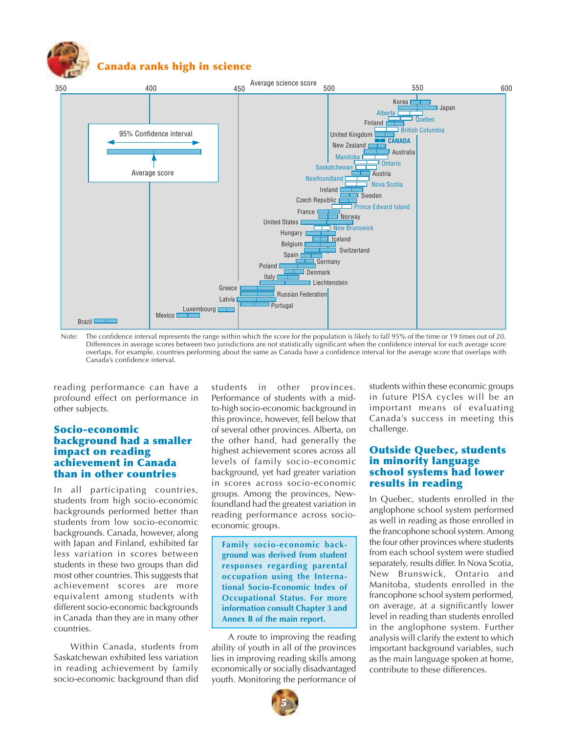

### **Canada ranks high in science**



Note: The confidence interval represents the range within which the score for the population is likely to fall 95% of the time or 19 times out of 20. Differences in average scores between two jurisdictions are not statistically significant when the confidence interval for each average score overlaps. For example, countries performing about the same as Canada have a confidence interval for the average score that overlaps with Canada's confidence interval.

reading performance can have a profound effect on performance in other subjects.

#### **Socio-economic background had a smaller impact on reading achievement in Canada than in other countries**

In all participating countries, students from high socio-economic backgrounds performed better than students from low socio-economic backgrounds. Canada, however, along with Japan and Finland, exhibited far less variation in scores between students in these two groups than did most other countries. This suggests that achievement scores are more equivalent among students with different socio-economic backgrounds in Canada than they are in many other countries.

Within Canada, students from Saskatchewan exhibited less variation in reading achievement by family socio-economic background than did

students in other provinces. Performance of students with a midto-high socio-economic background in this province, however, fell below that of several other provinces. Alberta, on the other hand, had generally the highest achievement scores across all levels of family socio-economic background, yet had greater variation in scores across socio-economic groups. Among the provinces, Newfoundland had the greatest variation in reading performance across socioeconomic groups.

**Family socio-economic background was derived from student responses regarding parental occupation using the International Socio-Economic Index of Occupational Status. For more information consult Chapter 3 and Annex B of the main report.**

A route to improving the reading ability of youth in all of the provinces lies in improving reading skills among economically or socially disadvantaged youth. Monitoring the performance of

students within these economic groups in future PISA cycles will be an important means of evaluating Canada's success in meeting this challenge.

#### **Outside Quebec, students in minority language school systems had lower results in reading**

In Quebec, students enrolled in the anglophone school system performed as well in reading as those enrolled in the francophone school system. Among the four other provinces where students from each school system were studied separately, results differ. In Nova Scotia, New Brunswick, Ontario and Manitoba, students enrolled in the francophone school system performed, on average, at a significantly lower level in reading than students enrolled in the anglophone system. Further analysis will clarify the extent to which important background variables, such as the main language spoken at home, contribute to these differences.